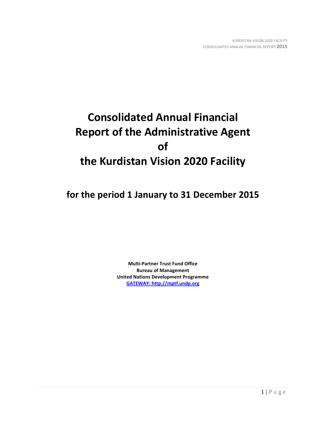# **Consolidated Annual Financial Report of the Administrative Agent of the Kurdistan Vision 2020 Facility**

**for the period 1 January to 31 December 2015**

**Multi-Partner Trust Fund Office Bureau of Management United Nations Development Programme [GATEWAY: http://mptf.undp.org](http://mptf.undp.org/)**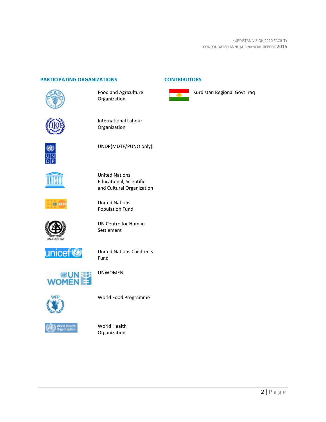# **PARTICIPATING ORGANIZATIONS CONTRIBUTORS**



Food and Agriculture Organization



International Labour Organization



UNDP(MDTF/PUNO only).



United Nations Educational, Scientific and Cultural Organization



United Nations Population Fund



UN Centre for Human Settlement



United Nations Children's Fund



UNWOMEN



World Food Programme



World Health Organization



Kurdistan Regional Govt Iraq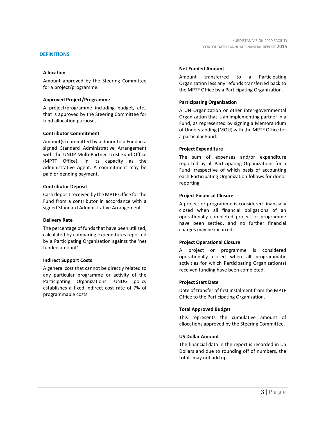#### **DEFINITIONS**

#### **Allocation**

Amount approved by the Steering Committee for a project/programme.

#### **Approved Project/Programme**

A project/programme including budget, etc., that is approved by the Steering Committee for fund allocation purposes.

#### **Contributor Commitment**

Amount(s) committed by a donor to a Fund in a signed Standard Administrative Arrangement with the UNDP Multi-Partner Trust Fund Office (MPTF Office), in its capacity as the Administrative Agent. A commitment may be paid or pending payment.

#### **Contributor Deposit**

Cash deposit received by the MPTF Office for the Fund from a contributor in accordance with a signed Standard Administrative Arrangement.

#### **Delivery Rate**

The percentage of funds that have been utilized, calculated by comparing expenditures reported by a Participating Organization against the 'net funded amount'.

#### **Indirect Support Costs**

A general cost that cannot be directly related to any particular programme or activity of the Participating Organizations. UNDG policy establishes a fixed indirect cost rate of 7% of programmable costs.

#### **Net Funded Amount**

Amount transferred to a Participating Organization less any refunds transferred back to the MPTF Office by a Participating Organization.

#### **Participating Organization**

A UN Organization or other inter-governmental Organization that is an implementing partner in a Fund, as represented by signing a Memorandum of Understanding (MOU) with the MPTF Office for a particular Fund.

#### **Project Expenditure**

The sum of expenses and/or expenditure reported by all Participating Organizations for a Fund irrespective of which basis of accounting each Participating Organization follows for donor reporting.

#### **Project Financial Closure**

A project or programme is considered financially closed when all financial obligations of an operationally completed project or programme have been settled, and no further financial charges may be incurred.

#### **Project Operational Closure**

A project or programme is considered operationally closed when all programmatic activities for which Participating Organization(s) received funding have been completed.

#### **Project Start Date**

Date of transfer of first instalment from the MPTF Office to the Participating Organization.

#### **Total Approved Budget**

This represents the cumulative amount of allocations approved by the Steering Committee.

#### **US Dollar Amount**

The financial data in the report is recorded in US Dollars and due to rounding off of numbers, the totals may not add up.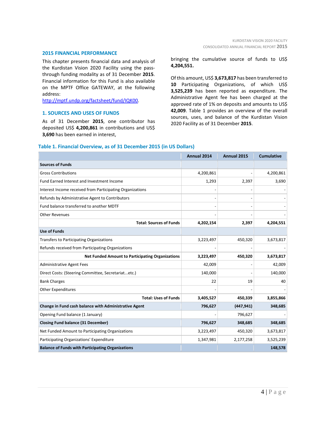#### **2015 FINANCIAL PERFORMANCE**

This chapter presents financial data and analysis of the Kurdistan Vision 2020 Facility using the passthrough funding modality as of 31 December **2015**. Financial information for this Fund is also available on the MPTF Office GATEWAY, at the following address:

[http://mptf.undp.org/factsheet/fund/IQK00.](http://mptf.undp.org/factsheet/fund/IQK00)

#### **1. SOURCES AND USES OF FUNDS**

As of 31 December **2015**, one contributor has deposited US\$ **4,200,861** in contributions and US\$ **3,690** has been earned in interest,

bringing the cumulative source of funds to US\$ **4,204,551.**

Of this amount, US\$ **3,673,817** has been transferred to **10** Participating Organizations, of which US\$ **3,525,239** has been reported as expenditure. The Administrative Agent fee has been charged at the approved rate of 1% on deposits and amounts to US\$ **42,009**. Table 1 provides an overview of the overall sources, uses, and balance of the Kurdistan Vision 2020 Facility as of 31 December **2015**.

#### **Table 1. Financial Overview, as of 31 December 2015 (in US Dollars)**

|                                                           | <b>Annual 2014</b> | Annual 2015 | <b>Cumulative</b> |
|-----------------------------------------------------------|--------------------|-------------|-------------------|
| <b>Sources of Funds</b>                                   |                    |             |                   |
| <b>Gross Contributions</b>                                | 4,200,861          |             | 4,200,861         |
| Fund Earned Interest and Investment Income                | 1,293              | 2,397       | 3,690             |
| Interest Income received from Participating Organizations |                    |             |                   |
| Refunds by Administrative Agent to Contributors           |                    |             |                   |
| Fund balance transferred to another MDTF                  |                    |             |                   |
| <b>Other Revenues</b>                                     |                    |             |                   |
| <b>Total: Sources of Funds</b>                            | 4,202,154          | 2,397       | 4,204,551         |
| <b>Use of Funds</b>                                       |                    |             |                   |
| <b>Transfers to Participating Organizations</b>           | 3,223,497          | 450,320     | 3,673,817         |
| Refunds received from Participating Organizations         |                    |             |                   |
| <b>Net Funded Amount to Participating Organizations</b>   | 3,223,497          | 450,320     | 3,673,817         |
| <b>Administrative Agent Fees</b>                          | 42,009             |             | 42,009            |
| Direct Costs: (Steering Committee, Secretariatetc.)       | 140,000            |             | 140,000           |
| <b>Bank Charges</b>                                       | 22                 | 19          | 40                |
| Other Expenditures                                        |                    |             |                   |
| <b>Total: Uses of Funds</b>                               | 3,405,527          | 450,339     | 3,855,866         |
| Change in Fund cash balance with Administrative Agent     | 796,627            | (447, 941)  | 348,685           |
| Opening Fund balance (1 January)                          |                    | 796,627     |                   |
| <b>Closing Fund balance (31 December)</b>                 | 796,627            | 348,685     | 348,685           |
| Net Funded Amount to Participating Organizations          | 3,223,497          | 450,320     | 3,673,817         |
| Participating Organizations' Expenditure                  | 1,347,981          | 2,177,258   | 3,525,239         |
| <b>Balance of Funds with Participating Organizations</b>  |                    |             | 148,578           |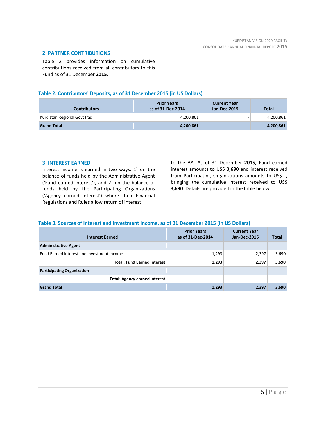#### **2. PARTNER CONTRIBUTIONS**

Table 2 provides information on cumulative contributions received from all contributors to this Fund as of 31 December **2015**.

# **Table 2. Contributors' Deposits, as of 31 December 2015 (in US Dollars)**

| <b>Contributors</b>          | <b>Prior Years</b><br>as of 31-Dec-2014 | <b>Current Year</b><br>Jan-Dec-2015 | <b>Total</b> |
|------------------------------|-----------------------------------------|-------------------------------------|--------------|
| Kurdistan Regional Govt Iraq | 4,200,861                               |                                     | 4,200,861    |
| <b>Grand Total</b>           | 4,200,861                               |                                     | 4,200,861    |

#### **3. INTEREST EARNED**

Interest income is earned in two ways: 1) on the balance of funds held by the Administrative Agent ('Fund earned interest'), and 2) on the balance of funds held by the Participating Organizations ('Agency earned interest') where their Financial Regulations and Rules allow return of interest

to the AA. As of 31 December **2015**, Fund earned interest amounts to US\$ **3,690** and interest received from Participating Organizations amounts to US\$ **-**, bringing the cumulative interest received to US\$ **3,690**. Details are provided in the table below.

# **Table 3. Sources of Interest and Investment Income, as of 31 December 2015 (in US Dollars)**

| <b>Interest Earned</b>                     | <b>Prior Years</b><br>as of 31-Dec-2014 | <b>Current Year</b><br><b>Jan-Dec-2015</b> | <b>Total</b> |
|--------------------------------------------|-----------------------------------------|--------------------------------------------|--------------|
| <b>Administrative Agent</b>                |                                         |                                            |              |
| Fund Earned Interest and Investment Income | 1,293                                   | 2,397                                      | 3,690        |
| <b>Total: Fund Earned Interest</b>         | 1,293                                   | 2,397                                      | 3,690        |
| <b>Participating Organization</b>          |                                         |                                            |              |
| <b>Total: Agency earned interest</b>       |                                         |                                            |              |
| <b>Grand Total</b>                         | 1,293                                   | 2,397                                      | 3,690        |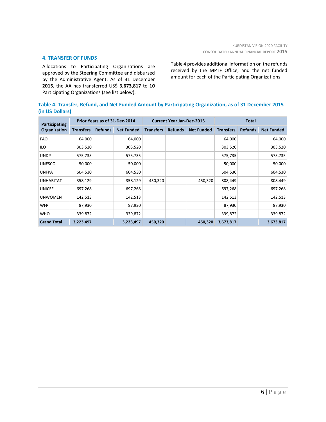#### **4. TRANSFER OF FUNDS**

Allocations to Participating Organizations are approved by the Steering Committee and disbursed by the Administrative Agent. As of 31 December **2015**, the AA has transferred US\$ **3,673,817** to **10** Participating Organizations (see list below).

Table 4 provides additional information on the refunds received by the MPTF Office, and the net funded amount for each of the Participating Organizations.

# **Table 4. Transfer, Refund, and Net Funded Amount by Participating Organization, as of 31 December 2015 (in US Dollars)**

| Participating      | Prior Years as of 31-Dec-2014 |                |                   | <b>Current Year Jan-Dec-2015</b> |                |                   | <b>Total</b>     |                |                   |
|--------------------|-------------------------------|----------------|-------------------|----------------------------------|----------------|-------------------|------------------|----------------|-------------------|
| Organization       | <b>Transfers</b>              | <b>Refunds</b> | <b>Net Funded</b> | <b>Transfers</b>                 | <b>Refunds</b> | <b>Net Funded</b> | <b>Transfers</b> | <b>Refunds</b> | <b>Net Funded</b> |
| <b>FAO</b>         | 64,000                        |                | 64,000            |                                  |                |                   | 64,000           |                | 64,000            |
| ILO                | 303,520                       |                | 303,520           |                                  |                |                   | 303,520          |                | 303,520           |
| <b>UNDP</b>        | 575,735                       |                | 575,735           |                                  |                |                   | 575,735          |                | 575,735           |
| <b>UNESCO</b>      | 50,000                        |                | 50,000            |                                  |                |                   | 50,000           |                | 50,000            |
| <b>UNFPA</b>       | 604,530                       |                | 604,530           |                                  |                |                   | 604,530          |                | 604,530           |
| <b>UNHABITAT</b>   | 358,129                       |                | 358,129           | 450,320                          |                | 450,320           | 808,449          |                | 808,449           |
| <b>UNICEF</b>      | 697,268                       |                | 697,268           |                                  |                |                   | 697,268          |                | 697,268           |
| <b>UNWOMEN</b>     | 142,513                       |                | 142,513           |                                  |                |                   | 142,513          |                | 142,513           |
| <b>WFP</b>         | 87,930                        |                | 87,930            |                                  |                |                   | 87,930           |                | 87,930            |
| <b>WHO</b>         | 339,872                       |                | 339,872           |                                  |                |                   | 339,872          |                | 339,872           |
| <b>Grand Total</b> | 3,223,497                     |                | 3,223,497         | 450,320                          |                | 450,320           | 3,673,817        |                | 3,673,817         |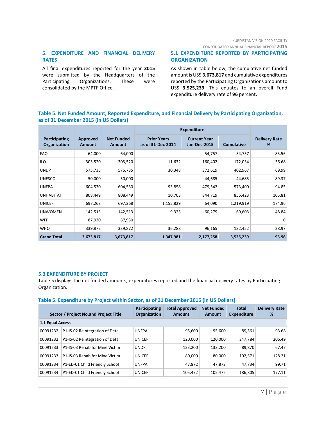# KURDISTAN VISION 2020 FACILITY

CONSOLIDATED ANNUAL FINANCIAL REPORT **2015**

# **5. EXPENDITURE AND FINANCIAL DELIVERY RATES**

All final expenditures reported for the year **2015** were submitted by the Headquarters of the Participating Organizations. These were consolidated by the MPTF Office.

# **5.1 EXPENDITURE REPORTED BY PARTICIPATING ORGANIZATION**

As shown in table below, the cumulative net funded amount is US\$ **3,673,817** and cumulative expenditures reported by the Participating Organizations amount to US\$ **3,525,239**. This equates to an overall Fund expenditure delivery rate of **96** percent.

# **Table 5. Net Funded Amount, Reported Expenditure, and Financial Delivery by Participating Organization, as of 31 December 2015 (in US Dollars)**

|                               |                           |                                    | <b>Expenditure</b>                      |                                            |                   |                           |
|-------------------------------|---------------------------|------------------------------------|-----------------------------------------|--------------------------------------------|-------------------|---------------------------|
| Participating<br>Organization | Approved<br><b>Amount</b> | <b>Net Funded</b><br><b>Amount</b> | <b>Prior Years</b><br>as of 31-Dec-2014 | <b>Current Year</b><br><b>Jan-Dec-2015</b> | <b>Cumulative</b> | <b>Delivery Rate</b><br>% |
| <b>FAO</b>                    | 64,000                    | 64,000                             |                                         | 54,757                                     | 54,757            | 85.56                     |
| <b>ILO</b>                    | 303,520                   | 303,520                            | 11,632                                  | 160,402                                    | 172,034           | 56.68                     |
| <b>UNDP</b>                   | 575,735                   | 575,735                            | 30,348                                  | 372,619                                    | 402,967           | 69.99                     |
| <b>UNESCO</b>                 | 50,000                    | 50,000                             |                                         | 44,685                                     | 44,685            | 89.37                     |
| <b>UNFPA</b>                  | 604,530                   | 604,530                            | 93,858                                  | 479,542                                    | 573,400           | 94.85                     |
| <b>UNHABITAT</b>              | 808,449                   | 808,449                            | 10,703                                  | 844,719                                    | 855,423           | 105.81                    |
| <b>UNICEF</b>                 | 697,268                   | 697,268                            | 1,155,829                               | 64,090                                     | 1,219,919         | 174.96                    |
| <b>UNWOMEN</b>                | 142,513                   | 142,513                            | 9,323                                   | 60,279                                     | 69,603            | 48.84                     |
| <b>WFP</b>                    | 87,930                    | 87,930                             |                                         |                                            |                   | $\Omega$                  |
| <b>WHO</b>                    | 339,872                   | 339,872                            | 36,288                                  | 96,165                                     | 132,452           | 38.97                     |
| <b>Grand Total</b>            | 3,673,817                 | 3,673,817                          | 1,347,981                               | 2,177,258                                  | 3,525,239         | 95.96                     |

#### **5.3 EXPENDITURE BY PROJECT**

Table 5 displays the net funded amounts, expenditures reported and the financial delivery rates by Participating Organization.

#### **Table 5. Expenditure by Project within Sector, as of 31 December 2015 (in US Dollars)**

|                  | Sector / Project No.and Project Title | Participating<br><b>Organization</b> | <b>Total Approved</b><br><b>Amount</b> | <b>Net Funded</b><br><b>Amount</b> | <b>Total</b><br><b>Expenditure</b> | <b>Delivery Rate</b><br>% |
|------------------|---------------------------------------|--------------------------------------|----------------------------------------|------------------------------------|------------------------------------|---------------------------|
| 1.1 Equal Access |                                       |                                      |                                        |                                    |                                    |                           |
| 00091232         | P1-IS-02 Reintegration of Deta        | <b>UNFPA</b>                         | 95,600                                 | 95,600                             | 89,561                             | 93.68                     |
| 00091232         | P1-IS-02 Reintegration of Deta        | <b>UNICEF</b>                        | 120,000                                | 120,000                            | 247.784                            | 206.49                    |
| 00091233         | P1-IS-03 Rehab for Mine Victim        | <b>UNDP</b>                          | 133,200                                | 133,200                            | 89,870                             | 67.47                     |
| 00091233         | P1-IS-03 Rehab for Mine Victim        | <b>UNICEF</b>                        | 80,000                                 | 80,000                             | 102,571                            | 128.21                    |
| 00091234         | P1-ED-01 Child Friendly School        | <b>UNFPA</b>                         | 47,872                                 | 47.872                             | 47.734                             | 99.71                     |
| 00091234         | P1-ED-01 Child Friendly School        | <b>UNICEF</b>                        | 105,472                                | 105,472                            | 186,805                            | 177.11                    |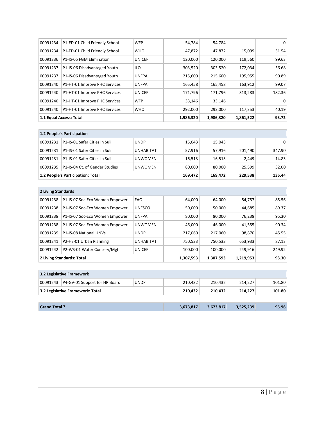| 00091234                | P1-ED-01 Child Friendly School | <b>WFP</b>    | 54,784    | 54,784    |         | 0      |
|-------------------------|--------------------------------|---------------|-----------|-----------|---------|--------|
| 00091234                | P1-ED-01 Child Friendly School | <b>WHO</b>    | 47,872    | 47,872    | 15,099  | 31.54  |
| 00091236                | P1-IS-05 FGM Elimination       | <b>UNICEF</b> | 120.000   | 120.000   | 119,560 | 99.63  |
| 00091237                | P1-IS-06 Disadvantaged Youth   | <b>ILO</b>    | 303,520   | 303,520   | 172,034 | 56.68  |
| 00091237                | P1-IS-06 Disadvantaged Youth   | <b>UNFPA</b>  | 215,600   | 215,600   | 195,955 | 90.89  |
| 00091240                | P1-HT-01 Improve PHC Services  | <b>UNFPA</b>  | 165,458   | 165,458   | 163,912 | 99.07  |
| 00091240                | P1-HT-01 Improve PHC Services  | <b>UNICEF</b> | 171,796   | 171,796   | 313,283 | 182.36 |
| 00091240                | P1-HT-01 Improve PHC Services  | <b>WFP</b>    | 33.146    | 33,146    |         | 0      |
| 00091240                | P1-HT-01 Improve PHC Services  | <b>WHO</b>    | 292,000   | 292,000   | 117,353 | 40.19  |
| 1.1 Equal Access: Total |                                | 1,986,320     | 1,986,320 | 1,861,522 | 93.72   |        |

| 1.2 People's Participation        |                                |                |         |         |         |        |  |
|-----------------------------------|--------------------------------|----------------|---------|---------|---------|--------|--|
| 00091231                          | P1-IS-01 Safer Cities in Suli  | <b>UNDP</b>    | 15,043  | 15,043  |         | 0      |  |
| 00091231                          | P1-IS-01 Safer Cities in Suli  | UNHABITAT      | 57,916  | 57,916  | 201,490 | 347.90 |  |
| 00091231                          | P1-IS-01 Safer Cities in Suli  | <b>UNWOMEN</b> | 16,513  | 16,513  | 2,449   | 14.83  |  |
| 00091235                          | P1-IS-04 Ct. of Gender Studies | <b>UNWOMEN</b> | 80,000  | 80,000  | 25,599  | 32.00  |  |
| 1.2 People's Participation: Total |                                |                | 169,472 | 169.472 | 229,538 | 135.44 |  |

| 2 Living Standards        |                                |                  |           |           |           |        |  |
|---------------------------|--------------------------------|------------------|-----------|-----------|-----------|--------|--|
| 00091238                  | P1-IS-07 Soc-Eco Women Empower | <b>FAO</b>       | 64.000    | 64.000    | 54,757    | 85.56  |  |
| 00091238                  | P1-IS-07 Soc-Eco Women Empower | <b>UNESCO</b>    | 50,000    | 50,000    | 44,685    | 89.37  |  |
| 00091238                  | P1-IS-07 Soc-Eco Women Empower | <b>UNFPA</b>     | 80,000    | 80,000    | 76.238    | 95.30  |  |
| 00091238                  | P1-IS-07 Soc-Eco Women Empower | <b>UNWOMEN</b>   | 46,000    | 46.000    | 41,555    | 90.34  |  |
| 00091239                  | P1-IS-08 National UNVs         | <b>UNDP</b>      | 217,060   | 217,060   | 98,870    | 45.55  |  |
| 00091241                  | P2-HS-01 Urban Planning        | <b>UNHABITAT</b> | 750.533   | 750.533   | 653,933   | 87.13  |  |
| 00091242                  | P2-WS-01 Water Conserv/Mgt     | <b>UNICEF</b>    | 100.000   | 100.000   | 249,916   | 249.92 |  |
| 2 Living Standards: Total |                                |                  | 1,307,593 | 1,307,593 | 1.219.953 | 93.30  |  |

| 3.2 Legislative Framework        |                               |             |           |           |           |        |  |  |
|----------------------------------|-------------------------------|-------------|-----------|-----------|-----------|--------|--|--|
| 00091243                         | P4-GV-01 Support for HR Board | <b>UNDP</b> | 210.432   | 210.432   | 214.227   | 101.80 |  |  |
| 3.2 Legislative Framework: Total |                               |             | 210,432   | 210.432   | 214.227   | 101.80 |  |  |
|                                  |                               |             |           |           |           |        |  |  |
| <b>Grand Total?</b>              |                               |             | 3,673,817 | 3,673,817 | 3,525,239 | 95.96  |  |  |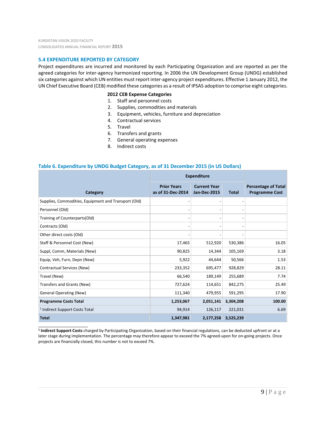\_\_\_\_\_\_\_\_\_\_\_\_\_\_\_\_\_\_\_\_\_\_

# **5.4 EXPENDITURE REPORTED BY CATEGORY**

Project expenditures are incurred and monitored by each Participating Organization and are reported as per the agreed categories for inter-agency harmonized reporting. In 2006 the UN Development Group (UNDG) established six categories against which UN entities must report inter-agency project expenditures. Effective 1 January 2012, the UN Chief Executive Board (CEB) modified these categories as a result of IPSAS adoption to comprise eight categories.

#### **2012 CEB Expense Categories**

- 1. Staff and personnel costs
- 2. Supplies, commodities and materials
- 3. Equipment, vehicles, furniture and depreciation
- 4. Contractual services
- 5. Travel
- 6. Transfers and grants
- 7. General operating expenses
- 8. Indirect costs

# **Table 6. Expenditure by UNDG Budget Category, as of 31 December 2015 (in US Dollars)**

|                                                      | <b>Expenditure</b>                      |                                            |              |                                                     |  |
|------------------------------------------------------|-----------------------------------------|--------------------------------------------|--------------|-----------------------------------------------------|--|
| Category                                             | <b>Prior Years</b><br>as of 31-Dec-2014 | <b>Current Year</b><br><b>Jan-Dec-2015</b> | <b>Total</b> | <b>Percentage of Total</b><br><b>Programme Cost</b> |  |
| Supplies, Commodities, Equipment and Transport (Old) |                                         |                                            |              |                                                     |  |
| Personnel (Old)                                      |                                         |                                            |              |                                                     |  |
| Training of Counterparts(Old)                        |                                         |                                            |              |                                                     |  |
| Contracts (Old)                                      |                                         |                                            |              |                                                     |  |
| Other direct costs (Old)                             |                                         |                                            |              |                                                     |  |
| Staff & Personnel Cost (New)                         | 17,465                                  | 512,920                                    | 530,386      | 16.05                                               |  |
| Suppl, Comm, Materials (New)                         | 90,825                                  | 14,344                                     | 105,169      | 3.18                                                |  |
| Equip, Veh, Furn, Depn (New)                         | 5,922                                   | 44,644                                     | 50,566       | 1.53                                                |  |
| Contractual Services (New)                           | 233,352                                 | 695,477                                    | 928,829      | 28.11                                               |  |
| Travel (New)                                         | 66,540                                  | 189,149                                    | 255,689      | 7.74                                                |  |
| Transfers and Grants (New)                           | 727,624                                 | 114,651                                    | 842,275      | 25.49                                               |  |
| <b>General Operating (New)</b>                       | 111,340                                 | 479,955                                    | 591,295      | 17.90                                               |  |
| <b>Programme Costs Total</b>                         | 1,253,067                               | 2,051,141                                  | 3,304,208    | 100.00                                              |  |
| <sup>1</sup> Indirect Support Costs Total            | 94,914                                  | 126,117                                    | 221,031      | 6.69                                                |  |
| <b>Total</b>                                         | 1,347,981                               | 2,177,258                                  | 3,525,239    |                                                     |  |

**<sup>1</sup> Indirect Support Costs** charged by Participating Organization, based on their financial regulations, can be deducted upfront or at a later stage during implementation. The percentage may therefore appear to exceed the 7% agreed-upon for on-going projects. Once projects are financially closed, this number is not to exceed 7%.